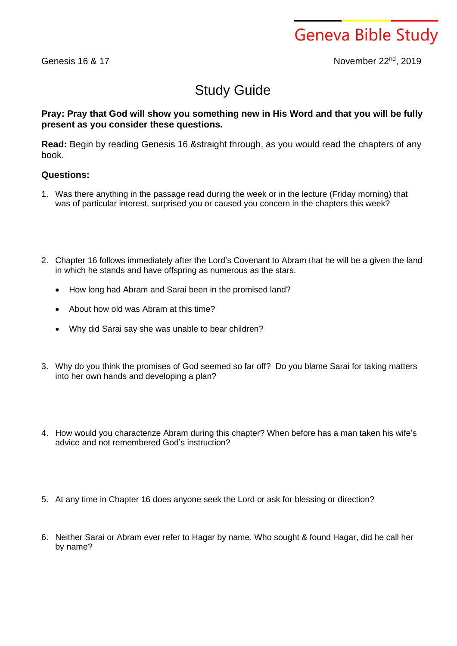Geneva Bible Study

Genesis 16 & 17

November 22<sup>nd</sup>, 2019

## Study Guide

## **Pray: Pray that God will show you something new in His Word and that you will be fully present as you consider these questions.**

**Read:** Begin by reading Genesis 16 &straight through, as you would read the chapters of any book.

## **Questions:**

- 1. Was there anything in the passage read during the week or in the lecture (Friday morning) that was of particular interest, surprised you or caused you concern in the chapters this week?
- 2. Chapter 16 follows immediately after the Lord's Covenant to Abram that he will be a given the land in which he stands and have offspring as numerous as the stars.
	- How long had Abram and Sarai been in the promised land?
	- About how old was Abram at this time?
	- Why did Sarai say she was unable to bear children?
- 3. Why do you think the promises of God seemed so far off? Do you blame Sarai for taking matters into her own hands and developing a plan?
- 4. How would you characterize Abram during this chapter? When before has a man taken his wife's advice and not remembered God's instruction?
- 5. At any time in Chapter 16 does anyone seek the Lord or ask for blessing or direction?
- 6. Neither Sarai or Abram ever refer to Hagar by name. Who sought & found Hagar, did he call her by name?